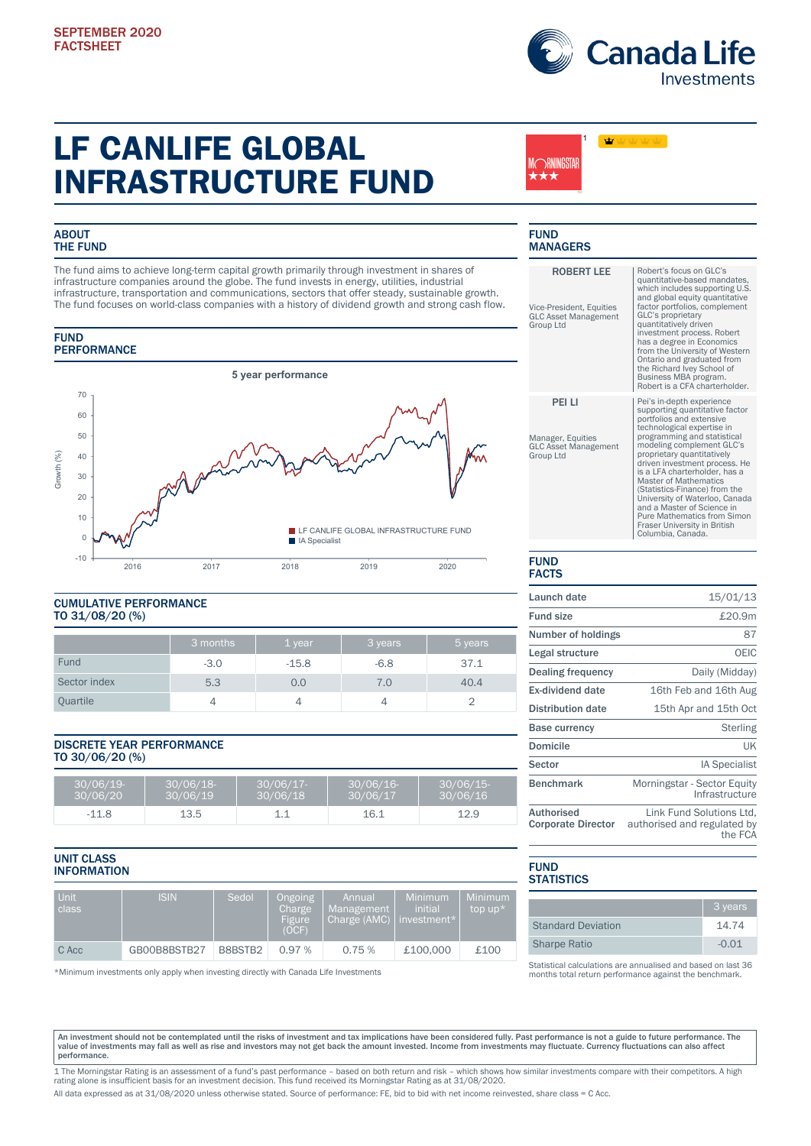

# LF CANLIFE GLOBAL INFRASTRUCTURE FUND

## **ABOUT** THE FUND

The fund aims to achieve long-term capital growth primarily through investment in shares of infrastructure companies around the globe. The fund invests in energy, utilities, industrial infrastructure, transportation and communications, sectors that offer steady, sustainable growth. The fund focuses on world-class companies with a history of dividend growth and strong cash flow.

## **FUND PERFORMANCE**



# CUMULATIVE PERFORMANCE TO 31/08/20 (%)

|              | 3 months | 1 year  | 3 years      | 5 years |
|--------------|----------|---------|--------------|---------|
| Fund         | $-3.0$   | $-15.8$ | $-6.8$       | 37.1    |
| Sector index | 5.3      | 0.0     | $\lambda$ .0 | 40.4    |
| Quartile     |          |         |              |         |

## DISCRETE YEAR PERFORMANCE TO 30/06/20 (%)

| $30/06/19$ -<br>30/06/20 | 30/06/18-<br>30/06/19 | $30/06/17$ -<br>30/06/18 | $30/06/16$ -<br>30/06/17 | 30/06/15<br>30/06/16 |
|--------------------------|-----------------------|--------------------------|--------------------------|----------------------|
| .118<br>- -              | 13.5                  |                          | 16                       | ⊥∠.उ                 |

## UNIT CLASS INFORMATION

| Unit<br>class <sup>1</sup> | <b>ISIN</b>  | Sedol   | Ongoing<br>Charge<br><b>Figure</b><br>(OCF) | Annual<br>Management<br>Charge (AMC) | <b>Minimum</b><br>initial<br>investment $^\star$ | Minimum<br>top up $*$ |
|----------------------------|--------------|---------|---------------------------------------------|--------------------------------------|--------------------------------------------------|-----------------------|
| C Acc                      | GB00B8BSTB27 | B8BSTB2 | 0.97%                                       | 0.75%                                | £100,000                                         | £100                  |

\*Minimum investments only apply when investing directly with Canada Life Investments

### FUND **MANAGERS**

MCRNINGSTAR ;★★

1

vb)

| <b>ROBERT LEE</b><br>Vice-President, Equities<br><b>GLC Asset Management</b><br><b>Group Ltd</b> | Robert's focus on GLC's<br>quantitative-based mandates,<br>which includes supporting U.S.<br>and global equity quantitative<br>factor portfolios, complement<br>GLC's proprietary<br>quantitatively driven<br>investment process. Robert<br>has a degree in Economics<br>from the University of Western<br>Ontario and graduated from<br>the Richard Ivey School of<br>Business MBA program.<br>Robert is a CFA charterholder.                                                                         |
|--------------------------------------------------------------------------------------------------|--------------------------------------------------------------------------------------------------------------------------------------------------------------------------------------------------------------------------------------------------------------------------------------------------------------------------------------------------------------------------------------------------------------------------------------------------------------------------------------------------------|
| PEI LI<br>Manager, Equities<br><b>GLC Asset Management</b><br>Group Ltd                          | Pei's in-depth experience<br>supporting quantitative factor<br>portfolios and extensive<br>technological expertise in<br>programming and statistical<br>modeling complement GLC's<br>proprietary quantitatively<br>driven investment process. He<br>is a LFA charterholder, has a<br><b>Master of Mathematics</b><br>(Statistics-Finance) from the<br>University of Waterloo, Canada<br>and a Master of Science in<br>Pure Mathematics from Simon<br>Fraser University in British<br>Columbia, Canada. |
|                                                                                                  |                                                                                                                                                                                                                                                                                                                                                                                                                                                                                                        |

#### FUND FACTS

| Launch date                                    | 15/01/13                                                           |
|------------------------------------------------|--------------------------------------------------------------------|
| <b>Fund size</b>                               | £20.9m                                                             |
| Number of holdings                             | 87                                                                 |
| Legal structure                                | OEIC                                                               |
| Dealing frequency                              | Daily (Midday)                                                     |
| Ex-dividend date                               | 16th Feb and 16th Aug                                              |
| <b>Distribution date</b>                       | 15th Apr and 15th Oct                                              |
| <b>Base currency</b>                           | Sterling                                                           |
| Domicile                                       | UK                                                                 |
| Sector                                         | <b>IA Specialist</b>                                               |
| <b>Benchmark</b>                               | Morningstar - Sector Equity<br>Infrastructure                      |
| <b>Authorised</b><br><b>Corporate Director</b> | Link Fund Solutions Ltd.<br>authorised and regulated by<br>the FCA |

## FUND **STATISTICS**

|                           | 3 years |
|---------------------------|---------|
| <b>Standard Deviation</b> | 14.74   |
| <b>Sharpe Ratio</b>       | $-0.01$ |

Statistical calculations are annualised and based on last 36 months total return performance against the benchmark.

An investment should not be contemplated until the risks of investment and tax implications have been considered fully. Past performance is not a guide to future performance. The<br>value of investments may fall as well as ri performance.

1 The Morningstar Rating is an assessment of a fund's past performance – based on both return and risk – which shows how similar investments compare with their competitors. A high<br>rating alone is insufficient basis for an All data expressed as at 31/08/2020 unless otherwise stated. Source of performance: FE, bid to bid with net income reinvested, share class = C Acc.